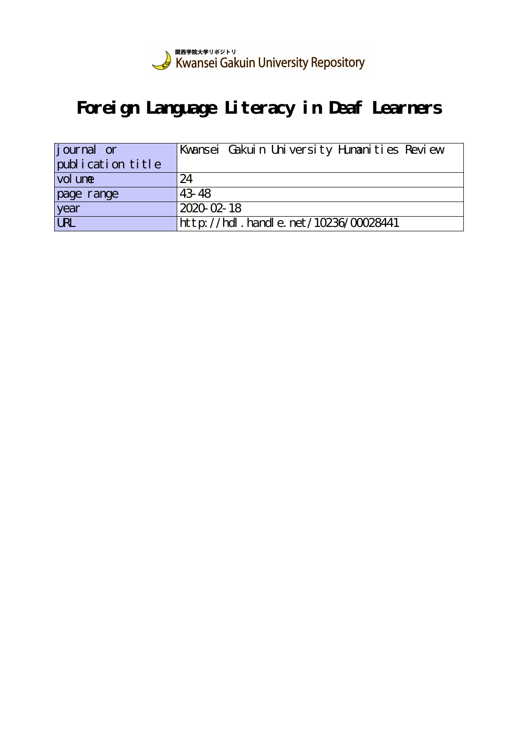

# **Foreign Language Literacy in Deaf Learners**

| journal or        | Kwansei Gakuin University Humanities Review |
|-------------------|---------------------------------------------|
| publication title |                                             |
| vol une           | 24                                          |
| page range        | 43.48                                       |
| year<br>URL       | $2020 - 02 - 18$                            |
|                   | http://hdl . handl e. net/10236/00028441    |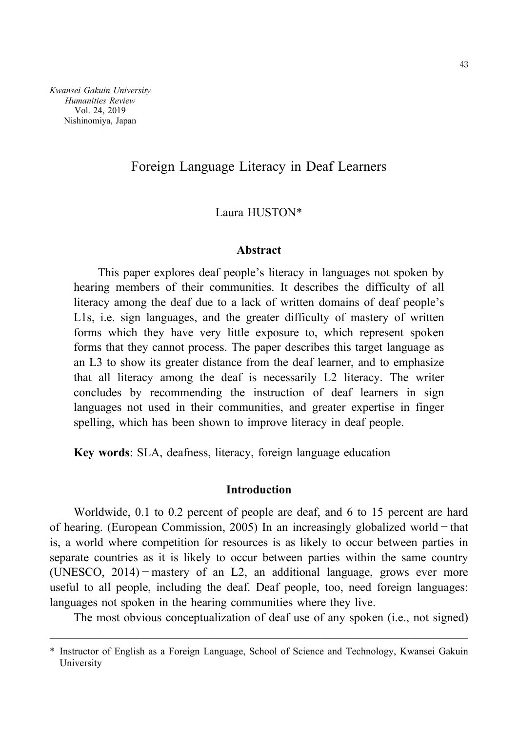*Kwansei Gakuin University Humanities Review* Vol. 24, 2019 Nishinomiya, Japan

# Foreign Language Literacy in Deaf Learners

## Laura HUSTON\*

## **Abstract**

This paper explores deaf people's literacy in languages not spoken by hearing members of their communities. It describes the difficulty of all literacy among the deaf due to a lack of written domains of deaf people's L1s, i.e. sign languages, and the greater difficulty of mastery of written forms which they have very little exposure to, which represent spoken forms that they cannot process. The paper describes this target language as an L3 to show its greater distance from the deaf learner, and to emphasize that all literacy among the deaf is necessarily L2 literacy. The writer concludes by recommending the instruction of deaf learners in sign languages not used in their communities, and greater expertise in finger spelling, which has been shown to improve literacy in deaf people.

**Key words**: SLA, deafness, literacy, foreign language education

## **Introduction**

Worldwide, 0.1 to 0.2 percent of people are deaf, and 6 to 15 percent are hard of hearing. (European Commission, 2005) In an increasingly globalized world  $-$  that is, a world where competition for resources is as likely to occur between parties in separate countries as it is likely to occur between parties within the same country (UNESCO,  $2014$ ) - mastery of an L2, an additional language, grows ever more useful to all people, including the deaf. Deaf people, too, need foreign languages: languages not spoken in the hearing communities where they live.

The most obvious conceptualization of deaf use of any spoken (i.e., not signed)

<sup>──────────────────────────────────────────</sup> \* Instructor of English as a Foreign Language, School of Science and Technology, Kwansei Gakuin University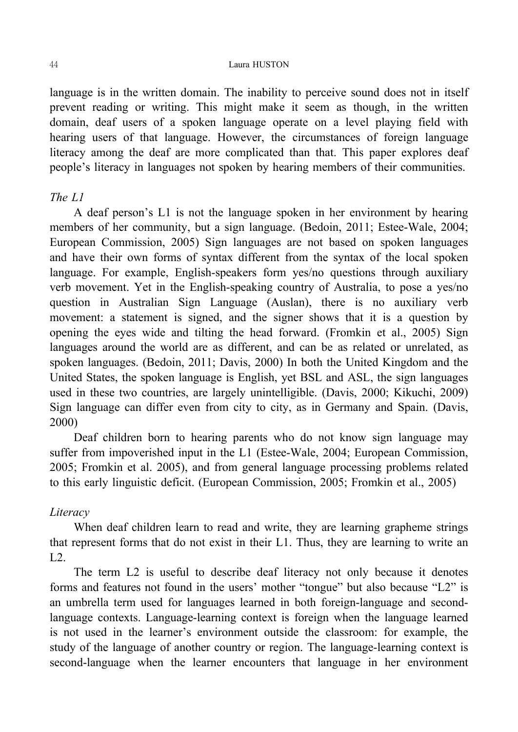#### 44 Laura HUSTON

language is in the written domain. The inability to perceive sound does not in itself prevent reading or writing. This might make it seem as though, in the written domain, deaf users of a spoken language operate on a level playing field with hearing users of that language. However, the circumstances of foreign language literacy among the deaf are more complicated than that. This paper explores deaf people's literacy in languages not spoken by hearing members of their communities.

## *The L1*

A deaf person's L1 is not the language spoken in her environment by hearing members of her community, but a sign language. (Bedoin, 2011; Estee-Wale, 2004; European Commission, 2005) Sign languages are not based on spoken languages and have their own forms of syntax different from the syntax of the local spoken language. For example, English-speakers form yes/no questions through auxiliary verb movement. Yet in the English-speaking country of Australia, to pose a yes/no question in Australian Sign Language (Auslan), there is no auxiliary verb movement: a statement is signed, and the signer shows that it is a question by opening the eyes wide and tilting the head forward. (Fromkin et al., 2005) Sign languages around the world are as different, and can be as related or unrelated, as spoken languages. (Bedoin, 2011; Davis, 2000) In both the United Kingdom and the United States, the spoken language is English, yet BSL and ASL, the sign languages used in these two countries, are largely unintelligible. (Davis, 2000; Kikuchi, 2009) Sign language can differ even from city to city, as in Germany and Spain. (Davis, 2000)

Deaf children born to hearing parents who do not know sign language may suffer from impoverished input in the L1 (Estee-Wale, 2004; European Commission, 2005; Fromkin et al. 2005), and from general language processing problems related to this early linguistic deficit. (European Commission, 2005; Fromkin et al., 2005)

# *Literacy*

When deaf children learn to read and write, they are learning grapheme strings that represent forms that do not exist in their L1. Thus, they are learning to write an  $L2$ .

The term L2 is useful to describe deaf literacy not only because it denotes forms and features not found in the users' mother "tongue" but also because "L2" is an umbrella term used for languages learned in both foreign-language and secondlanguage contexts. Language-learning context is foreign when the language learned is not used in the learner's environment outside the classroom: for example, the study of the language of another country or region. The language-learning context is second-language when the learner encounters that language in her environment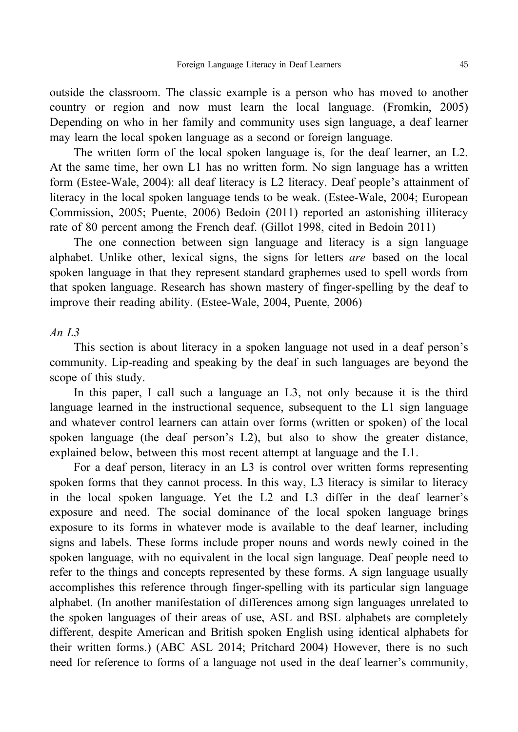outside the classroom. The classic example is a person who has moved to another country or region and now must learn the local language. (Fromkin, 2005) Depending on who in her family and community uses sign language, a deaf learner may learn the local spoken language as a second or foreign language.

The written form of the local spoken language is, for the deaf learner, an L2. At the same time, her own L1 has no written form. No sign language has a written form (Estee-Wale, 2004): all deaf literacy is L2 literacy. Deaf people's attainment of literacy in the local spoken language tends to be weak. (Estee-Wale, 2004; European Commission, 2005; Puente, 2006) Bedoin (2011) reported an astonishing illiteracy rate of 80 percent among the French deaf. (Gillot 1998, cited in Bedoin 2011)

The one connection between sign language and literacy is a sign language alphabet. Unlike other, lexical signs, the signs for letters *are* based on the local spoken language in that they represent standard graphemes used to spell words from that spoken language. Research has shown mastery of finger-spelling by the deaf to improve their reading ability. (Estee-Wale, 2004, Puente, 2006)

## *An L3*

This section is about literacy in a spoken language not used in a deaf person's community. Lip-reading and speaking by the deaf in such languages are beyond the scope of this study.

In this paper, I call such a language an L3, not only because it is the third language learned in the instructional sequence, subsequent to the L1 sign language and whatever control learners can attain over forms (written or spoken) of the local spoken language (the deaf person's L2), but also to show the greater distance, explained below, between this most recent attempt at language and the L1.

For a deaf person, literacy in an L3 is control over written forms representing spoken forms that they cannot process. In this way, L3 literacy is similar to literacy in the local spoken language. Yet the L2 and L3 differ in the deaf learner's exposure and need. The social dominance of the local spoken language brings exposure to its forms in whatever mode is available to the deaf learner, including signs and labels. These forms include proper nouns and words newly coined in the spoken language, with no equivalent in the local sign language. Deaf people need to refer to the things and concepts represented by these forms. A sign language usually accomplishes this reference through finger-spelling with its particular sign language alphabet. (In another manifestation of differences among sign languages unrelated to the spoken languages of their areas of use, ASL and BSL alphabets are completely different, despite American and British spoken English using identical alphabets for their written forms.) (ABC ASL 2014; Pritchard 2004) However, there is no such need for reference to forms of a language not used in the deaf learner's community,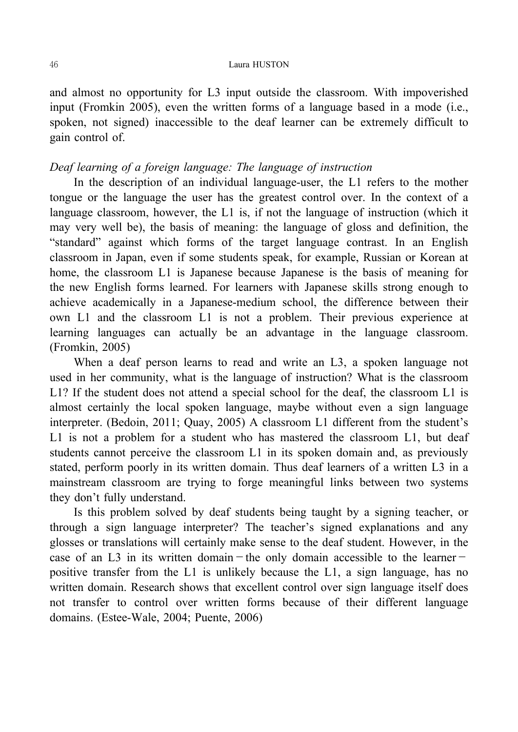#### 46 Laura HUSTON

and almost no opportunity for L3 input outside the classroom. With impoverished input (Fromkin 2005), even the written forms of a language based in a mode (i.e., spoken, not signed) inaccessible to the deaf learner can be extremely difficult to gain control of.

## *Deaf learning of a foreign language: The language of instruction*

In the description of an individual language-user, the L1 refers to the mother tongue or the language the user has the greatest control over. In the context of a language classroom, however, the L1 is, if not the language of instruction (which it may very well be), the basis of meaning: the language of gloss and definition, the "standard" against which forms of the target language contrast. In an English classroom in Japan, even if some students speak, for example, Russian or Korean at home, the classroom L1 is Japanese because Japanese is the basis of meaning for the new English forms learned. For learners with Japanese skills strong enough to achieve academically in a Japanese-medium school, the difference between their own L1 and the classroom L1 is not a problem. Their previous experience at learning languages can actually be an advantage in the language classroom. (Fromkin, 2005)

When a deaf person learns to read and write an L3, a spoken language not used in her community, what is the language of instruction? What is the classroom L1? If the student does not attend a special school for the deaf, the classroom L1 is almost certainly the local spoken language, maybe without even a sign language interpreter. (Bedoin, 2011; Quay, 2005) A classroom L1 different from the student's L1 is not a problem for a student who has mastered the classroom L1, but deaf students cannot perceive the classroom L1 in its spoken domain and, as previously stated, perform poorly in its written domain. Thus deaf learners of a written L3 in a mainstream classroom are trying to forge meaningful links between two systems they don't fully understand.

Is this problem solved by deaf students being taught by a signing teacher, or through a sign language interpreter? The teacher's signed explanations and any glosses or translations will certainly make sense to the deaf student. However, in the case of an L3 in its written domain - the only domain accessible to the learnerpositive transfer from the L1 is unlikely because the L1, a sign language, has no written domain. Research shows that excellent control over sign language itself does not transfer to control over written forms because of their different language domains. (Estee-Wale, 2004; Puente, 2006)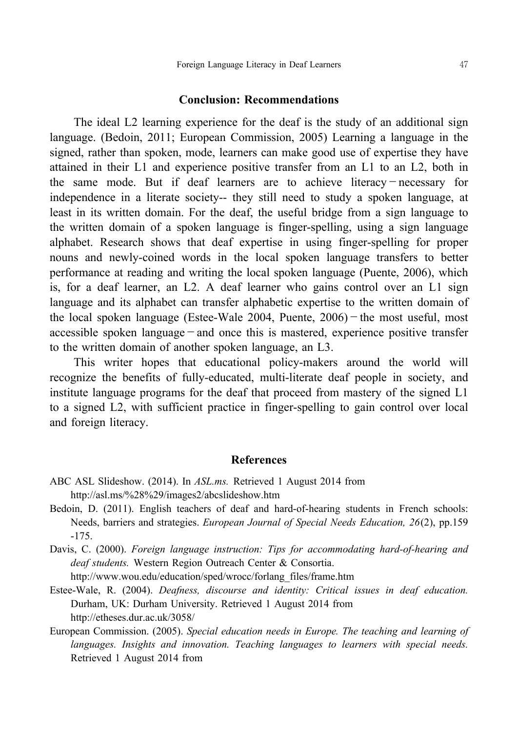#### **Conclusion: Recommendations**

The ideal L2 learning experience for the deaf is the study of an additional sign language. (Bedoin, 2011; European Commission, 2005) Learning a language in the signed, rather than spoken, mode, learners can make good use of expertise they have attained in their L1 and experience positive transfer from an L1 to an L2, both in the same mode. But if deaf learners are to achieve literacy-necessary for independence in a literate society-- they still need to study a spoken language, at least in its written domain. For the deaf, the useful bridge from a sign language to the written domain of a spoken language is finger-spelling, using a sign language alphabet. Research shows that deaf expertise in using finger-spelling for proper nouns and newly-coined words in the local spoken language transfers to better performance at reading and writing the local spoken language (Puente, 2006), which is, for a deaf learner, an L2. A deaf learner who gains control over an L1 sign language and its alphabet can transfer alphabetic expertise to the written domain of the local spoken language (Estee-Wale 2004, Puente,  $2006$ ) – the most useful, most accessible spoken language  $-\text{and}$  once this is mastered, experience positive transfer to the written domain of another spoken language, an L3.

This writer hopes that educational policymakers around the world will recognize the benefits of fully-educated, multi-literate deaf people in society, and institute language programs for the deaf that proceed from mastery of the signed L1 to a signed L2, with sufficient practice in finger-spelling to gain control over local and foreign literacy.

#### **References**

- ABC ASL Slideshow. (2014). In *ASL.ms.* Retrieved 1 August 2014 from http://asl.ms/%28%29/images2/abcslideshow.htm
- Bedoin, D. (2011). English teachers of deaf and hard-of-hearing students in French schools: Needs, barriers and strategies. *European Journal of Special Needs Education, 26*(2), pp.159  $-175.$
- Davis, C. (2000). *Foreign language instruction: Tips for accommodating hard-of-hearing and deaf students.* Western Region Outreach Center & Consortia. http://www.wou.edu/education/sped/wrocc/forlang\_files/frame.htm
- EsteeWale, R. (2004). *Deafness, discourse and identity: Critical issues in deaf education.* Durham, UK: Durham University. Retrieved 1 August 2014 from http://etheses.dur.ac.uk/3058/
- European Commission. (2005). *Special education needs in Europe. The teaching and learning of languages. Insights and innovation. Teaching languages to learners with special needs.* Retrieved 1 August 2014 from